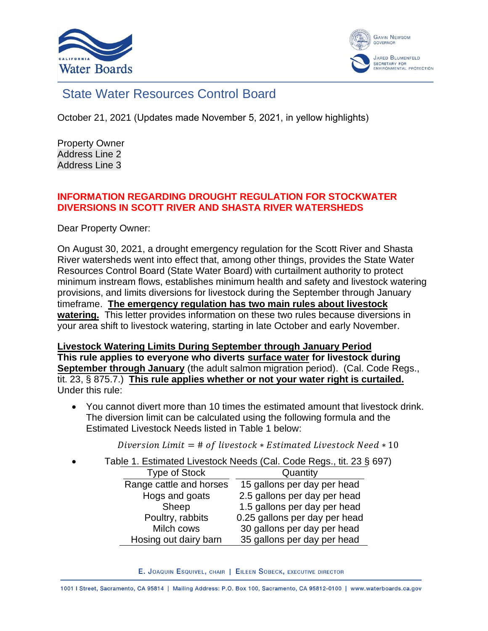



# State Water Resources Control Board

October 21, 2021 (Updates made November 5, 2021, in yellow highlights)

Property Owner Address Line 2 Address Line 3

#### **INFORMATION REGARDING DROUGHT REGULATION FOR STOCKWATER DIVERSIONS IN SCOTT RIVER AND SHASTA RIVER WATERSHEDS**

Dear Property Owner:

On August 30, 2021, a drought emergency regulation for the Scott River and Shasta River watersheds went into effect that, among other things, provides the State Water Resources Control Board (State Water Board) with curtailment authority to protect minimum instream flows, establishes minimum health and safety and livestock watering provisions, and limits diversions for livestock during the September through January timeframe. **The emergency regulation has two main rules about livestock watering.** This letter provides information on these two rules because diversions in your area shift to livestock watering, starting in late October and early November.

**Livestock Watering Limits During September through January Period This rule applies to everyone who diverts surface water for livestock during September through January** (the adult salmon migration period). (Cal. Code Regs., tit. 23, § 875.7.) **This rule applies whether or not your water right is curtailed.** Under this rule:

• You cannot divert more than 10 times the estimated amount that livestock drink. The diversion limit can be calculated using the following formula and the Estimated Livestock Needs listed in Table 1 below:

Diversion Limit = # of livestock  $*$  Estimated Livestock Need  $*$  10

• Table 1. Estimated Livestock Needs (Cal. Code Regs., tit. 23 § 697) Type of Stock Quantity

| <b>I YUG UI OIUUN</b>   | <b>GUALILITY</b>              |
|-------------------------|-------------------------------|
| Range cattle and horses | 15 gallons per day per head   |
| Hogs and goats          | 2.5 gallons per day per head  |
| Sheep                   | 1.5 gallons per day per head  |
| Poultry, rabbits        | 0.25 gallons per day per head |
| Milch cows              | 30 gallons per day per head   |
| Hosing out dairy barn   | 35 gallons per day per head   |

E. JOAQUIN ESQUIVEL, CHAIR | EILEEN SOBECK, EXECUTIVE DIRECTOR

1001 | Street, Sacramento, CA 95814 | Mailing Address: P.O. Box 100, Sacramento, CA 95812-0100 | www.waterboards.ca.gov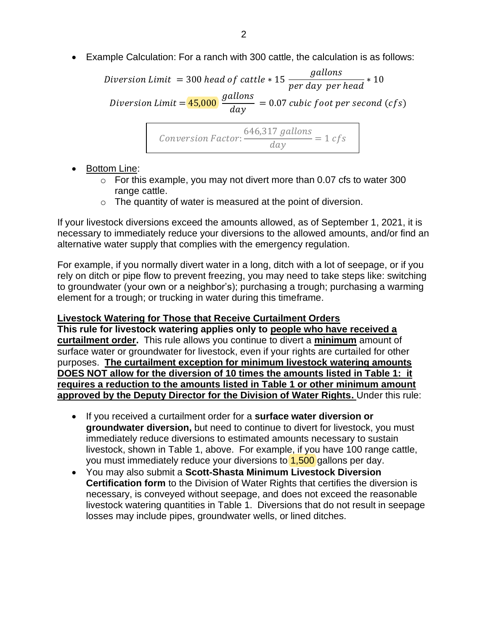• Example Calculation: For a ranch with 300 cattle, the calculation is as follows:

Diversion Limit  $= 300$  head of cattle  $* 15$ gallons  $\frac{5}{\text{per day per head}} * 10$ Diversion Limit = <mark>45,000</mark> gallons  $\frac{1}{day} = 0.07 \text{ cubic foot per second (cfs)}$ 

$$
Conversion Factor: \frac{646,317 \text{ gallons}}{day} = 1 \text{ cfs}
$$

• Bottom Line:

- $\circ$  For this example, you may not divert more than 0.07 cfs to water 300 range cattle.
- $\circ$  The quantity of water is measured at the point of diversion.

If your livestock diversions exceed the amounts allowed, as of September 1, 2021, it is necessary to immediately reduce your diversions to the allowed amounts, and/or find an alternative water supply that complies with the emergency regulation.

For example, if you normally divert water in a long, ditch with a lot of seepage, or if you rely on ditch or pipe flow to prevent freezing, you may need to take steps like: switching to groundwater (your own or a neighbor's); purchasing a trough; purchasing a warming element for a trough; or trucking in water during this timeframe.

#### **Livestock Watering for Those that Receive Curtailment Orders**

**This rule for livestock watering applies only to people who have received a curtailment order.** This rule allows you continue to divert a **minimum** amount of surface water or groundwater for livestock, even if your rights are curtailed for other purposes. **The curtailment exception for minimum livestock watering amounts DOES NOT allow for the diversion of 10 times the amounts listed in Table 1: it requires a reduction to the amounts listed in Table 1 or other minimum amount approved by the Deputy Director for the Division of Water Rights.** Under this rule:

- If you received a curtailment order for a **surface water diversion or groundwater diversion,** but need to continue to divert for livestock, you must immediately reduce diversions to estimated amounts necessary to sustain livestock, shown in Table 1, above. For example, if you have 100 range cattle, you must immediately reduce your diversions to 1,500 gallons per day.
- You may also submit a **Scott-Shasta Minimum Livestock Diversion Certification form** to the Division of Water Rights that certifies the diversion is necessary, is conveyed without seepage, and does not exceed the reasonable livestock watering quantities in Table 1. Diversions that do not result in seepage losses may include pipes, groundwater wells, or lined ditches.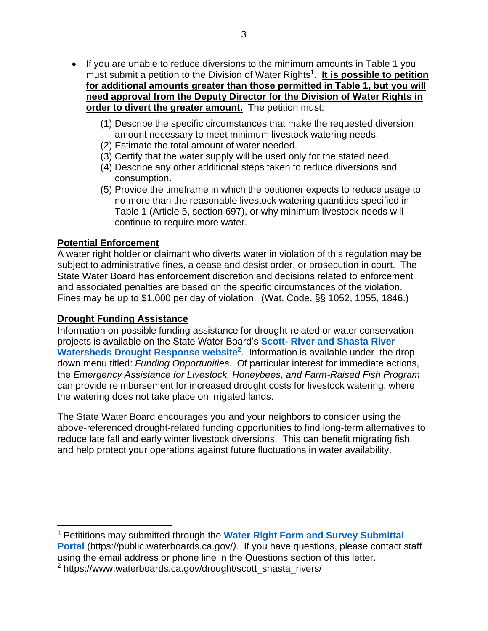- If you are unable to reduce diversions to the minimum amounts in Table 1 you must submit a petition to the Division of Water Rights<sup>1</sup>. It is possible to petition **for additional amounts greater than those permitted in Table 1, but you will need approval from the Deputy Director for the Division of Water Rights in order to divert the greater amount.** The petition must:
	- (1) Describe the specific circumstances that make the requested diversion amount necessary to meet minimum livestock watering needs.
	- (2) Estimate the total amount of water needed.
	- (3) Certify that the water supply will be used only for the stated need.
	- (4) Describe any other additional steps taken to reduce diversions and consumption.
	- (5) Provide the timeframe in which the petitioner expects to reduce usage to no more than the reasonable livestock watering quantities specified in Table 1 (Article 5, section 697), or why minimum livestock needs will continue to require more water.

## **Potential Enforcement**

A water right holder or claimant who diverts water in violation of this regulation may be subject to administrative fines, a cease and desist order, or prosecution in court. The State Water Board has enforcement discretion and decisions related to enforcement and associated penalties are based on the specific circumstances of the violation. Fines may be up to \$1,000 per day of violation. (Wat. Code, §§ 1052, 1055, 1846.)

## **Drought Funding Assistance**

Information on possible funding assistance for drought-related or water conservation projects is available on the State Water Board's **Scott- [River and Shasta River](https://www.waterboards.ca.gov/drought/scott_shasta_rivers/)  [Watersheds Drought Response website](https://www.waterboards.ca.gov/drought/scott_shasta_rivers/)<sup>2</sup>** . Information is available under the dropdown menu titled: *Funding Opportunities*. Of particular interest for immediate actions, the *Emergency Assistance for Livestock, Honeybees, and Farm-Raised Fish Program* can provide reimbursement for increased drought costs for livestock watering, where the watering does not take place on irrigated lands.

The State Water Board encourages you and your neighbors to consider using the above-referenced drought-related funding opportunities to find long-term alternatives to reduce late fall and early winter livestock diversions. This can benefit migrating fish, and help protect your operations against future fluctuations in water availability.

<sup>1</sup> Petititions may submitted through the **[Water Right Form and Survey Submittal](https://public.waterboards.ca.gov/WRInfo)  [Portal](https://public.waterboards.ca.gov/WRInfo)** (https://public.waterboards.ca.gov/*)*. If you have questions, please contact staff using the email address or phone line in the Questions section of this letter.

<sup>2</sup> https://www.waterboards.ca.gov/drought/scott\_shasta\_rivers/